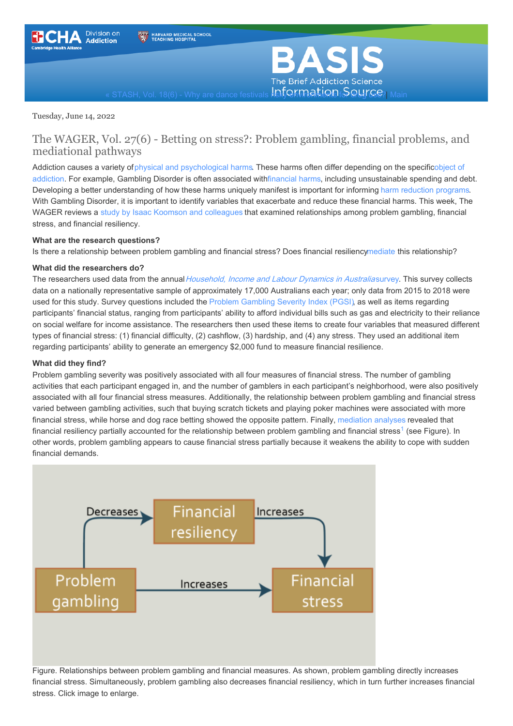<span id="page-0-0"></span>



Tuesday, June 14, 2022

### The WAGER, Vol. 27(6) - Betting on stress?: Problem gambling, financial problems, and mediational pathways

Addiction causes a variety of physical and [psychological](https://nida.nih.gov/publications/drugs-brains-behavior-science-addiction/addiction-health) harms. These harms often differ depending on the [specificobject](https://www.health.harvard.edu/blog/what-is-addiction-2-2017061914490#:~:text=An%20object%20of%20addiction%20can%20be%20almost%20anything) of addiction. For example, Gambling Disorder is often associated wit[hfinancial](https://www.tandfonline.com/doi/full/10.1080/14459795.2017.1333131) harms, including unsustainable spending and debt. Developing a better understanding of how these harms uniquely manifest is important for informing harm [reduction](https://www.ncbi.nlm.nih.gov/pmc/articles/PMC2528824/) programs. With Gambling Disorder, it is important to identify variables that exacerbate and reduce these financial harms. This week, The WAGER reviews a study by Isaac Koomson and [colleagues](https://link.springer.com/article/10.1007/s11205-022-02898-6) that examined relationships among problem gambling, financial stress, and financial resiliency.

#### **What are the research questions?**

Is there a relationship between problem gambling and financial stress? Does financial resilienc[ymediate](https://www.basisonline.org/basis_glossary.html#mediator) this relationship?

#### **What did the researchers do?**

The researchers used data from the annual [Household,](https://melbourneinstitute.unimelb.edu.au/hilda) Income and Labour Dynamics in Australiasurvey. This survey collects data on a nationally representative sample of approximately 17,000 Australians each year; only data from 2015 to 2018 were used for this study. Survey questions included the Problem [Gambling](https://responsiblegambling.vic.gov.au/for-professionals/health-and-community-professionals/problem-gambling-severity-index-pgsi/) Severity Index (PGSI), as well as items regarding participants' financial status, ranging from participants' ability to afford individual bills such as gas and electricity to their reliance on social welfare for income assistance. The researchers then used these items to create four variables that measured different types of financial stress: (1) financial difficulty, (2) cashflow, (3) hardship, and (4) any stress. They used an additional item regarding participants' ability to generate an emergency \$2,000 fund to measure financial resilience.

#### **What did they find?**

Problem gambling severity was positively associated with all four measures of financial stress. The number of gambling activities that each participant engaged in, and the number of gamblers in each participant's neighborhood, were also positively associated with all four financial stress measures. Additionally, the relationship between problem gambling and financial stress varied between gambling activities, such that buying scratch tickets and playing poker machines were associated with more financial stress, while horse and dog race betting showed the opposite pattern. Finally, [mediation](https://www.basisonline.org/basis_glossary.html#medana) analyses revealed that financial resiliency partially accounted for the relationship between problem gambling and financial stress<sup>[1](#page-0-0)</sup> (see Figure). In other words, problem gambling appears to cause financial stress partially because it weakens the ability to cope with sudden financial demands.



Figure. Relationships between problem gambling and financial measures. As shown, problem gambling directly increases financial stress. Simultaneously, problem gambling also decreases financial resiliency, which in turn further increases financial stress. Click image to enlarge.